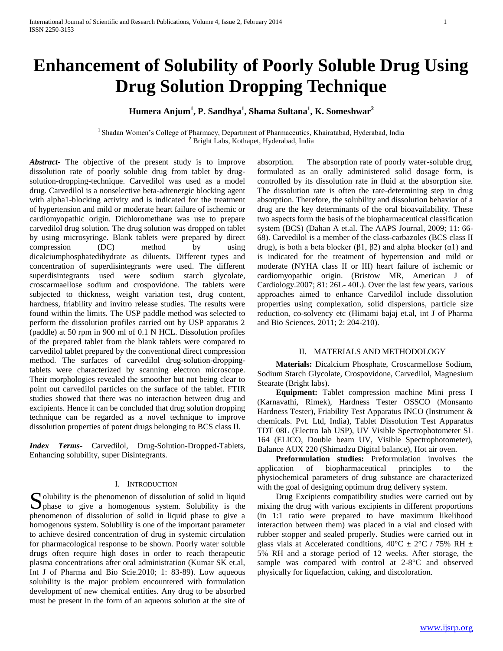# **Enhancement of Solubility of Poorly Soluble Drug Using Drug Solution Dropping Technique**

**Humera Anjum<sup>1</sup> , P. Sandhya<sup>1</sup> , Shama Sultana<sup>1</sup> , K. Someshwar<sup>2</sup>**

<sup>1</sup> Shadan Women's College of Pharmacy, Department of Pharmaceutics, Khairatabad, Hyderabad, India <sup>2</sup> Bright Labs, Kothapet, Hyderabad, India

*Abstract***-** The objective of the present study is to improve dissolution rate of poorly soluble drug from tablet by drugsolution-dropping-technique. Carvedilol was used as a model drug. Carvedilol is a nonselective beta-adrenergic blocking agent with alpha1-blocking activity and is indicated for the treatment of hypertension and mild or moderate heart failure of ischemic or cardiomyopathic origin. Dichloromethane was use to prepare carvedilol drug solution. The drug solution was dropped on tablet by using microsyringe. Blank tablets were prepared by direct compression (DC) method by using dicalciumphosphatedihydrate as diluents. Different types and concentration of superdisintegrants were used. The different superdisintegrants used were sodium starch glycolate, croscarmaellose sodium and crospovidone. The tablets were subjected to thickness, weight variation test, drug content, hardness, friability and invitro release studies. The results were found within the limits. The USP paddle method was selected to perform the dissolution profiles carried out by USP apparatus 2 (paddle) at 50 rpm in 900 ml of 0.1 N HCL. Dissolution profiles of the prepared tablet from the blank tablets were compared to carvedilol tablet prepared by the conventional direct compression method. The surfaces of carvedilol drug-solution-droppingtablets were characterized by scanning electron microscope. Their morphologies revealed the smoother but not being clear to point out carvedilol particles on the surface of the tablet. FTIR studies showed that there was no interaction between drug and excipients. Hence it can be concluded that drug solution dropping technique can be regarded as a novel technique to improve dissolution properties of potent drugs belonging to BCS class II.

*Index Terms*- Carvedilol, Drug-Solution-Dropped-Tablets, Enhancing solubility, super Disintegrants.

#### I. INTRODUCTION

Solubility is the phenomenon of dissolution of solid in liquid<br>phase to give a homogenous system. Solubility is the  $\Box$  phase to give a homogenous system. Solubility is the phenomenon of dissolution of solid in liquid phase to give a homogenous system. Solubility is one of the important parameter to achieve desired concentration of drug in systemic circulation for pharmacological response to be shown. Poorly water soluble drugs often require high doses in order to reach therapeutic plasma concentrations after oral administration (Kumar SK et.al, Int J of Pharma and Bio Scie.2010; 1: 83-89). Low aqueous solubility is the major problem encountered with formulation development of new chemical entities. Any drug to be absorbed must be present in the form of an aqueous solution at the site of

absorption. The absorption rate of poorly water-soluble drug, formulated as an orally administered solid dosage form, is controlled by its dissolution rate in fluid at the absorption site. The dissolution rate is often the rate-determining step in drug absorption. Therefore, the solubility and dissolution behavior of a drug are the key determinants of the oral bioavailability. These two aspects form the basis of the biopharmaceutical classification system (BCS) (Dahan A et.al. The AAPS Journal, 2009; 11: 66- 68). Carvedilol is a member of the class-carbazoles (BCS class II drug), is both a beta blocker (β1, β2) and alpha blocker (α1) and is indicated for the treatment of hypertension and mild or moderate (NYHA class II or III) heart failure of ischemic or cardiomyopathic origin. (Bristow MR, American J of Cardiology.2007; 81: 26L- 40L). Over the last few years, various approaches aimed to enhance Carvedilol include dissolution properties using complexation, solid dispersions, particle size reduction, co-solvency etc (Himami bajaj et.al, int J of Pharma and Bio Sciences. 2011; 2: 204-210).

#### II. MATERIALS AND METHODOLOGY

 **Materials:** Dicalcium Phosphate, Croscarmellose Sodium, Sodium Starch Glycolate, Crospovidone, Carvedilol, Magnesium Stearate (Bright labs).

 **Equipment:** Tablet compression machine Mini press I (Karnavathi, Rimek), Hardness Tester OSSCO (Monsanto Hardness Tester), Friability Test Apparatus INCO (Instrument & chemicals. Pvt. Ltd, India), Tablet Dissolution Test Apparatus TDT 08L (Electro lab USP), UV Visible Spectrophotometer SL 164 (ELICO, Double beam UV, Visible Spectrophotometer), Balance AUX 220 (Shimadzu Digital balance), Hot air oven.

 **Preformulation studies:** Preformulation involves the application of biopharmaceutical principles to the physiochemical parameters of drug substance are characterized with the goal of designing optimum drug delivery system.

Drug Excipients compatibility studies were carried out by mixing the drug with various excipients in different proportions (in 1:1 ratio were prepared to have maximum likelihood interaction between them) was placed in a vial and closed with rubber stopper and sealed properly. Studies were carried out in glass vials at Accelerated conditions,  $40^{\circ}$ C  $\pm$  2°C / 75% RH  $\pm$ 5% RH and a storage period of 12 weeks. After storage, the sample was compared with control at 2-8°C and observed physically for liquefaction, caking, and discoloration.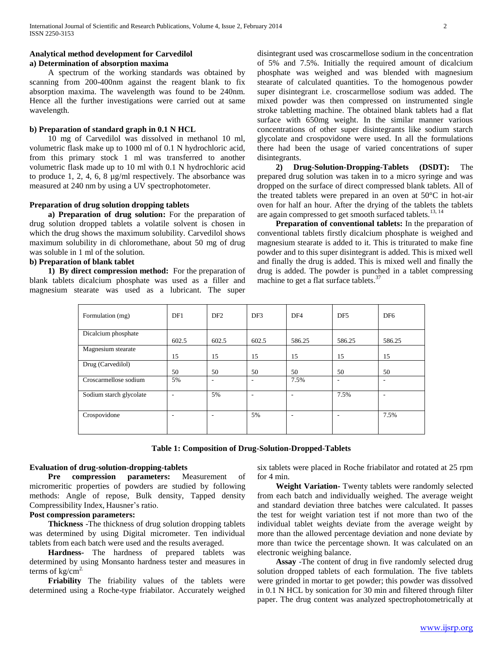## **Analytical method development for Carvedilol a) Determination of absorption maxima**

A spectrum of the working standards was obtained by scanning from 200-400nm against the reagent blank to fix absorption maxima. The wavelength was found to be 240nm. Hence all the further investigations were carried out at same wavelength.

#### **b) Preparation of standard graph in 0.1 N HCL**

10 mg of Carvedilol was dissolved in methanol 10 ml, volumetric flask make up to 1000 ml of 0.1 N hydrochloric acid, from this primary stock 1 ml was transferred to another volumetric flask made up to 10 ml with 0.1 N hydrochloric acid to produce 1, 2, 4, 6, 8 µg/ml respectively. The absorbance was measured at 240 nm by using a UV spectrophotometer.

## **Preparation of drug solution dropping tablets**

 **a) Preparation of drug solution:** For the preparation of drug solution dropped tablets a volatile solvent is chosen in which the drug shows the maximum solubility. Carvedilol shows maximum solubility in di chloromethane, about 50 mg of drug was soluble in 1 ml of the solution.

## **b) Preparation of blank tablet**

 **1) By direct compression method:** For the preparation of blank tablets dicalcium phosphate was used as a filler and magnesium stearate was used as a lubricant. The super disintegrant used was croscarmellose sodium in the concentration of 5% and 7.5%. Initially the required amount of dicalcium phosphate was weighed and was blended with magnesium stearate of calculated quantities. To the homogenous powder super disintegrant i.e. croscarmellose sodium was added. The mixed powder was then compressed on instrumented single stroke tabletting machine. The obtained blank tablets had a flat surface with 650mg weight. In the similar manner various concentrations of other super disintegrants like sodium starch glycolate and crospovidone were used. In all the formulations there had been the usage of varied concentrations of super disintegrants.

 **2) Drug-Solution-Dropping-Tablets (DSDT):** The prepared drug solution was taken in to a micro syringe and was dropped on the surface of direct compressed blank tablets. All of the treated tablets were prepared in an oven at 50°C in hot-air oven for half an hour. After the drying of the tablets the tablets are again compressed to get smooth surfaced tablets.<sup>13, 14</sup>

 **Preparation of conventional tablets:** In the preparation of conventional tablets firstly dicalcium phosphate is weighed and magnesium stearate is added to it. This is triturated to make fine powder and to this super disintegrant is added. This is mixed well and finally the drug is added. This is mixed well and finally the drug is added. The powder is punched in a tablet compressing machine to get a flat surface tablets.<sup>37</sup>

| Formulation (mg)        | DF1                      | DF <sub>2</sub>          | DF3   | DF <sub>4</sub> | DF <sub>5</sub> | DF <sub>6</sub>          |
|-------------------------|--------------------------|--------------------------|-------|-----------------|-----------------|--------------------------|
| Dicalcium phosphate     | 602.5                    | 602.5                    | 602.5 | 586.25          | 586.25          | 586.25                   |
| Magnesium stearate      | 15                       | 15                       | 15    | 15              | 15              | 15                       |
| Drug (Carvedilol)       | 50                       | 50                       | 50    | 50              | 50              | 50                       |
| Croscarmellose sodium   | 5%                       | $\overline{\phantom{a}}$ | ٠     | 7.5%            | ۰               | $\overline{\phantom{a}}$ |
| Sodium starch glycolate | $\overline{\phantom{a}}$ | 5%                       | ۰     | ۰               | 7.5%            |                          |
| Crospovidone            | $\overline{\phantom{a}}$ |                          | 5%    | ٠               | ۰               | 7.5%                     |

**Table 1: Composition of Drug-Solution-Dropped-Tablets**

#### **Evaluation of drug-solution-dropping-tablets**

 **Pre compression parameters:** Measurement of micromeritic properties of powders are studied by following methods: Angle of repose, Bulk density, Tapped density Compressibility Index, Hausner's ratio.

# **Post compression parameters:**

 **Thickness** -The thickness of drug solution dropping tablets was determined by using Digital micrometer. Ten individual tablets from each batch were used and the results averaged.

 **Hardness-** The hardness of prepared tablets was determined by using Monsanto hardness tester and measures in terms of  $kg/cm<sup>2</sup>$ .

 **Friability** The friability values of the tablets were determined using a Roche-type friabilator. Accurately weighed six tablets were placed in Roche friabilator and rotated at 25 rpm for 4 min.

 **Weight Variation-** Twenty tablets were randomly selected from each batch and individually weighed. The average weight and standard deviation three batches were calculated. It passes the test for weight variation test if not more than two of the individual tablet weights deviate from the average weight by more than the allowed percentage deviation and none deviate by more than twice the percentage shown. It was calculated on an electronic weighing balance.

 **Assay** -The content of drug in five randomly selected drug solution dropped tablets of each formulation. The five tablets were grinded in mortar to get powder; this powder was dissolved in 0.1 N HCL by sonication for 30 min and filtered through filter paper. The drug content was analyzed spectrophotometrically at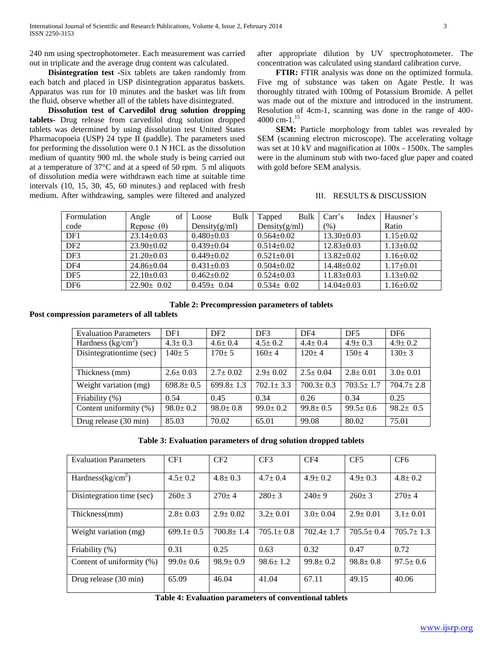240 nm using spectrophotometer. Each measurement was carried out in triplicate and the average drug content was calculated.

 **Disintegration test -**Six tablets are taken randomly from each batch and placed in USP disintegration apparatus baskets. Apparatus was run for 10 minutes and the basket was lift from the fluid, observe whether all of the tablets have disintegrated.

 **Dissolution test of Carvedilol drug solution dropping tablets-** Drug release from carvedilol drug solution dropped tablets was determined by using dissolution test United States Pharmacopoeia (USP) 24 type II (paddle). The parameters used for performing the dissolution were 0.1 N HCL as the dissolution medium of quantity 900 ml. the whole study is being carried out at a temperature of 37°C and at a speed of 50 rpm. 5 ml aliquots of dissolution media were withdrawn each time at suitable time intervals (10, 15, 30, 45, 60 minutes.) and replaced with fresh medium. After withdrawing, samples were filtered and analyzed

after appropriate dilution by UV spectrophotometer. The concentration was calculated using standard calibration curve.

 **FTIR:** FTIR analysis was done on the optimized formula. Five mg of substance was taken on Agate Pestle. It was thoroughly titrated with 100mg of Potassium Bromide. A pellet was made out of the mixture and introduced in the instrument. Resolution of 4cm-1, scanning was done in the range of 400- 4000 cm- $1^{15}$ 

 **SEM:** Particle morphology from tablet was revealed by SEM (scanning electron microscope). The accelerating voltage was set at 10 kV and magnification at 100x - 1500x. The samples were in the aluminum stub with two-faced glue paper and coated with gold before SEM analysis.

#### III. RESULTS & DISCUSSION

| Formulation     | of<br>Angle       | Bulk<br>Loose    | Bulk<br>Tapped   | Index<br>Carr's  | Hausner's       |
|-----------------|-------------------|------------------|------------------|------------------|-----------------|
|                 |                   |                  |                  |                  |                 |
| code            | Repose $(\theta)$ | Density $(g/ml)$ | Density $(g/ml)$ | (%)              | Ratio           |
| DF1             | $23.14 \pm 0.03$  | $0.480\pm0.03$   | $0.564 \pm 0.02$ | $13.30\pm0.03$   | $1.15 \pm 0.02$ |
| DF <sub>2</sub> | $23.90 \pm 0.02$  | $0.439 \pm 0.04$ | $0.514 \pm 0.02$ | $12.83 \pm 0.03$ | $1.13 \pm 0.02$ |
| DF3             | $21.20 \pm 0.03$  | $0.449 \pm 0.02$ | $0.521 \pm 0.01$ | $13.82 \pm 0.02$ | $1.16 \pm 0.02$ |
| DF <sub>4</sub> | $24.86 \pm 0.04$  | $0.431 \pm 0.03$ | $0.504 \pm 0.02$ | $14.48 \pm 0.02$ | $1.17 \pm 0.01$ |
| DF <sub>5</sub> | $22.10 \pm 0.03$  | $0.462 \pm 0.02$ | $0.524 \pm 0.03$ | $11.83 \pm 0.03$ | $1.13 \pm 0.02$ |
| DF <sub>6</sub> | $22.90 \pm 0.02$  | $0.459 \pm 0.04$ | $0.534 \pm 0.02$ | $14.04 \pm 0.03$ | $1.16 \pm 0.02$ |

#### **Table 2: Precompression parameters of tablets**

**Post compression parameters of all tablets**

| <b>Evaluation Parameters</b> | DF1             | DF <sub>2</sub> | DF3             | DF <sub>4</sub> | DF <sub>5</sub> | DF <sub>6</sub> |
|------------------------------|-----------------|-----------------|-----------------|-----------------|-----------------|-----------------|
| Hardness $(kg/cm2)$          | $4.3 \pm 0.3$   | $4.6 \pm 0.4$   | $4.5 \pm 0.2$   | $4.4 \pm 0.4$   | $4.9 \pm 0.3$   | $4.9 \pm 0.2$   |
| Disintegration time (sec)    | $140 \pm 5$     | $170+5$         | $160+4$         | $120+4$         | $150 \pm 4$     | $130 \pm 3$     |
|                              |                 |                 |                 |                 |                 |                 |
| Thickness (mm)               | $2.6 \pm 0.03$  | $2.7 \pm 0.02$  | $2.9 \pm 0.02$  | $2.5 \pm 0.04$  | $2.8 \pm 0.01$  | $3.0 \pm 0.01$  |
| Weight variation (mg)        | $698.8 \pm 0.5$ | $699.8 \pm 1.3$ | $702.1 \pm 3.3$ | $700.3 \pm 0.3$ | $703.5 \pm 1.7$ | $704.7 \pm 2.8$ |
| Friability (%)               | 0.54            | 0.45            | 0.34            | 0.26            | 0.34            | 0.25            |
| Content uniformity (%)       | $98.0 \pm 0.2$  | $98.0 \pm 0.8$  | $99.0 \pm 0.2$  | $99.8 \pm 0.5$  | $99.5 \pm 0.6$  | $98.2 \pm 0.5$  |
| Drug release (30 min)        | 85.03           | 70.02           | 65.01           | 99.08           | 80.02           | 75.01           |

**Table 3: Evaluation parameters of drug solution dropped tablets**

| <b>Evaluation Parameters</b> | CF1             | CF2             | CF3             | CF4             | CF <sub>5</sub> | CF <sub>6</sub> |
|------------------------------|-----------------|-----------------|-----------------|-----------------|-----------------|-----------------|
| Hardness $(kg/cm2)$          | $4.5 \pm 0.2$   | $4.8 \pm 0.3$   | $4.7 \pm 0.4$   | $4.9 \pm 0.2$   | $4.9 \pm 0.3$   | $4.8 \pm 0.2$   |
| Disintegration time (sec)    | $260 \pm 3$     | $270+4$         | $280 \pm 3$     | $240 \pm 9$     | $260 \pm 3$     | $270+4$         |
| Thickness(mm)                | $2.8 \pm 0.03$  | $2.9 \pm 0.02$  | $3.2 \pm 0.01$  | $3.0 \pm 0.04$  | $2.9 \pm 0.01$  | $3.1 \pm 0.01$  |
| Weight variation (mg)        | $699.1 \pm 0.5$ | $700.8 \pm 1.4$ | $705.1 \pm 0.8$ | $702.4 \pm 1.7$ | $705.5 \pm 0.4$ | $705.7 \pm 1.3$ |
| Friability (%)               | 0.31            | 0.25            | 0.63            | 0.32            | 0.47            | 0.72            |
| Content of uniformity (%)    | $99.0 \pm 0.6$  | $98.9 \pm 0.9$  | $98.6 \pm 1.2$  | $99.8 \pm 0.2$  | $98.8 \pm 0.8$  | $97.5 \pm 0.6$  |
| Drug release (30 min)        | 65.09           | 46.04           | 41.04           | 67.11           | 49.15           | 40.06           |

**Table 4: Evaluation parameters of conventional tablets**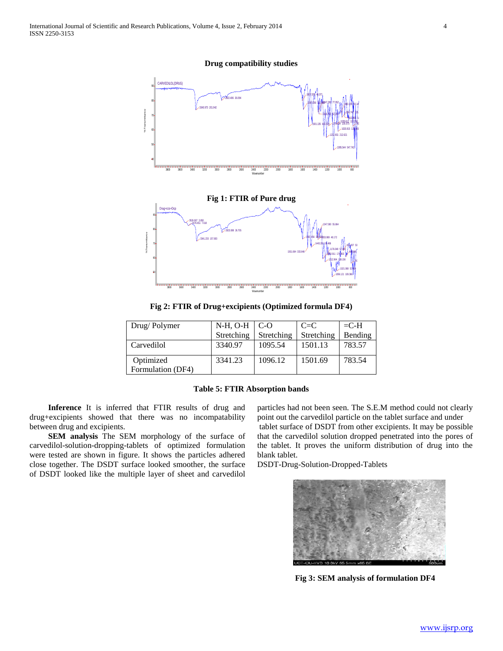**Drug compatibility studies**



**Fig 2: FTIR of Drug+excipients (Optimized formula DF4)**

| Drug/Polymer                   | $N-H$ , O-H | $C-O$      | $C = C$    | $=$ C-H |
|--------------------------------|-------------|------------|------------|---------|
|                                | Stretching  | Stretching | Stretching | Bending |
| Carvedilol                     | 3340.97     | 1095.54    | 1501.13    | 783.57  |
| Optimized<br>Formulation (DF4) | 3341.23     | 1096.12    | 1501.69    | 783.54  |

## **Table 5: FTIR Absorption bands**

 **Inference** It is inferred that FTIR results of drug and drug+excipients showed that there was no incompatability between drug and excipients.

 **SEM analysis** The SEM morphology of the surface of carvedilol-solution-dropping-tablets of optimized formulation were tested are shown in figure. It shows the particles adhered close together. The DSDT surface looked smoother, the surface of DSDT looked like the multiple layer of sheet and carvedilol

particles had not been seen. The S.E.M method could not clearly point out the carvedilol particle on the tablet surface and under tablet surface of DSDT from other excipients. It may be possible that the carvedilol solution dropped penetrated into the pores of the tablet. It proves the uniform distribution of drug into the blank tablet.

DSDT-Drug-Solution-Dropped-Tablets



**Fig 3: SEM analysis of formulation DF4**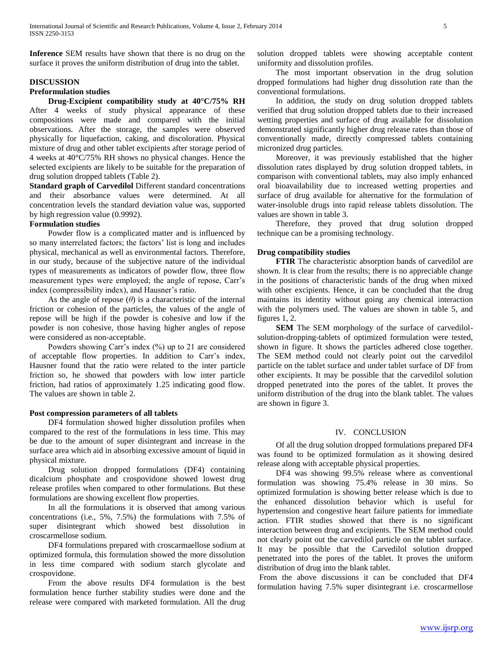**Inference** SEM results have shown that there is no drug on the surface it proves the uniform distribution of drug into the tablet.

## **DISCUSSION**

### **Preformulation studies**

 **Drug-Excipient compatibility study at 40°C/75% RH**  After 4 weeks of study physical appearance of these compositions were made and compared with the initial observations. After the storage, the samples were observed physically for liquefaction, caking, and discoloration. Physical mixture of drug and other tablet excipients after storage period of 4 weeks at 40°C/75% RH shows no physical changes. Hence the selected excipients are likely to be suitable for the preparation of drug solution dropped tablets (Table 2).

**Standard graph of Carvedilol** Different standard concentrations and their absorbance values were determined. At all concentration levels the standard deviation value was, supported by high regression value (0.9992).

## **Formulation studies**

Powder flow is a complicated matter and is influenced by so many interrelated factors; the factors' list is long and includes physical, mechanical as well as environmental factors. Therefore, in our study, because of the subjective nature of the individual types of measurements as indicators of powder flow, three flow measurement types were employed; the angle of repose, Carr's index (compressibility index), and Hausner's ratio.

As the angle of repose  $(\theta)$  is a characteristic of the internal friction or cohesion of the particles, the values of the angle of repose will be high if the powder is cohesive and low if the powder is non cohesive, those having higher angles of repose were considered as non-acceptable.

Powders showing Carr's index (%) up to 21 are considered of acceptable flow properties. In addition to Carr's index, Hausner found that the ratio were related to the inter particle friction so, he showed that powders with low inter particle friction, had ratios of approximately 1.25 indicating good flow. The values are shown in table 2.

## **Post compression parameters of all tablets**

DF4 formulation showed higher dissolution profiles when compared to the rest of the formulations in less time. This may be due to the amount of super disintegrant and increase in the surface area which aid in absorbing excessive amount of liquid in physical mixture.

Drug solution dropped formulations (DF4) containing dicalcium phosphate and crospovidone showed lowest drug release profiles when compared to other formulations. But these formulations are showing excellent flow properties.

In all the formulations it is observed that among various concentrations (i.e., 5%, 7.5%) the formulations with 7.5% of super disintegrant which showed best dissolution in croscarmellose sodium.

DF4 formulations prepared with croscarmaellose sodium at optimized formula, this formulation showed the more dissolution in less time compared with sodium starch glycolate and crospovidone.

From the above results DF4 formulation is the best formulation hence further stability studies were done and the release were compared with marketed formulation. All the drug

solution dropped tablets were showing acceptable content uniformity and dissolution profiles.

The most important observation in the drug solution dropped formulations had higher drug dissolution rate than the conventional formulations.

In addition, the study on drug solution dropped tablets verified that drug solution dropped tablets due to their increased wetting properties and surface of drug available for dissolution demonstrated significantly higher drug release rates than those of conventionally made, directly compressed tablets containing micronized drug particles.

Moreover, it was previously established that the higher dissolution rates displayed by drug solution dropped tablets, in comparison with conventional tablets, may also imply enhanced oral bioavailability due to increased wetting properties and surface of drug available for alternative for the formulation of water-insoluble drugs into rapid release tablets dissolution. The values are shown in table 3.

Therefore, they proved that drug solution dropped technique can be a promising technology.

## **Drug compatibility studies**

 **FTIR** The characteristic absorption bands of carvedilol are shown. It is clear from the results; there is no appreciable change in the positions of characteristic bands of the drug when mixed with other excipients. Hence, it can be concluded that the drug maintains its identity without going any chemical interaction with the polymers used. The values are shown in table 5, and figures 1, 2.

**SEM** The SEM morphology of the surface of carvedilolsolution-dropping-tablets of optimized formulation were tested, shown in figure. It shows the particles adhered close together. The SEM method could not clearly point out the carvedilol particle on the tablet surface and under tablet surface of DF from other excipients. It may be possible that the carvedilol solution dropped penetrated into the pores of the tablet. It proves the uniform distribution of the drug into the blank tablet. The values are shown in figure 3.

## IV. CONCLUSION

Of all the drug solution dropped formulations prepared DF4 was found to be optimized formulation as it showing desired release along with acceptable physical properties.

DF4 was showing 99.5% release where as conventional formulation was showing 75.4% release in 30 mins. So optimized formulation is showing better release which is due to the enhanced dissolution behavior which is useful for hypertension and congestive heart failure patients for immediate action. FTIR studies showed that there is no significant interaction between drug and excipients. The SEM method could not clearly point out the carvedilol particle on the tablet surface. It may be possible that the Carvedilol solution dropped penetrated into the pores of the tablet. It proves the uniform distribution of drug into the blank tablet.

From the above discussions it can be concluded that DF4 formulation having 7.5% super disintegrant i.e. croscarmellose